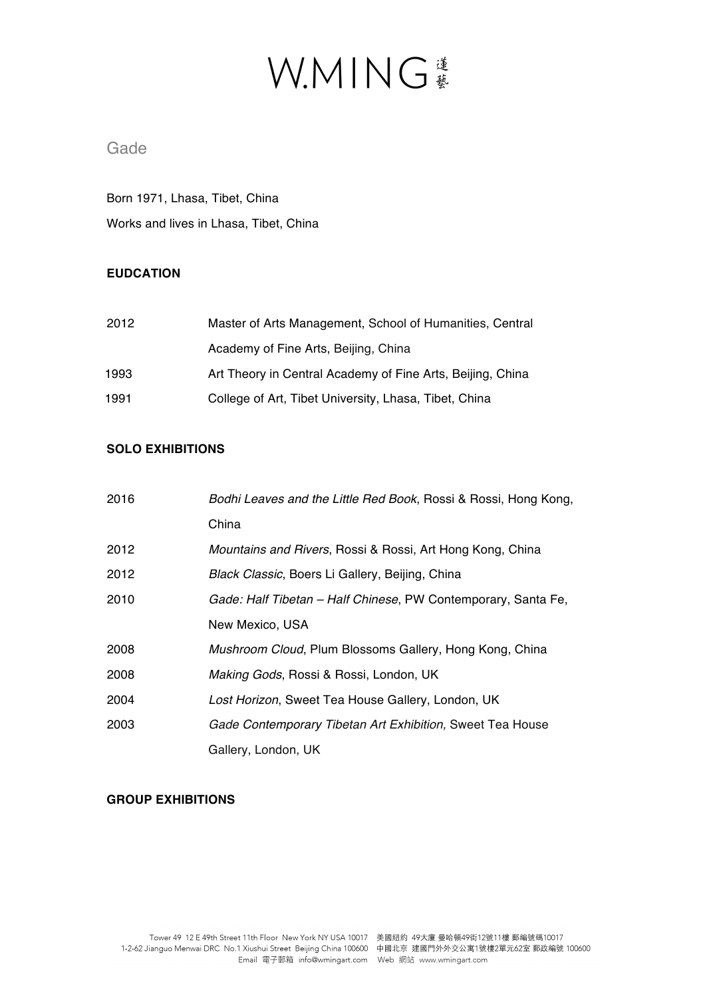### Gade

Born 1971, Lhasa, Tibet, China Works and lives in Lhasa, Tibet, China

### **EUDCATION**

| 2012 | Master of Arts Management, School of Humanities, Central   |
|------|------------------------------------------------------------|
|      | Academy of Fine Arts, Beijing, China                       |
| 1993 | Art Theory in Central Academy of Fine Arts, Beijing, China |
| 1991 | College of Art, Tibet University, Lhasa, Tibet, China      |

### **SOLO EXHIBITIONS**

| 2016 | Bodhi Leaves and the Little Red Book, Rossi & Rossi, Hong Kong,      |
|------|----------------------------------------------------------------------|
|      | China                                                                |
| 2012 | <i>Mountains and Rivers, Rossi &amp; Rossi, Art Hong Kong, China</i> |
| 2012 | Black Classic, Boers Li Gallery, Beijing, China                      |
| 2010 | Gade: Half Tibetan - Half Chinese, PW Contemporary, Santa Fe,        |
|      | New Mexico, USA                                                      |
| 2008 | Mushroom Cloud, Plum Blossoms Gallery, Hong Kong, China              |
| 2008 | Making Gods, Rossi & Rossi, London, UK                               |
| 2004 | Lost Horizon, Sweet Tea House Gallery, London, UK                    |
| 2003 | Gade Contemporary Tibetan Art Exhibition, Sweet Tea House            |
|      | Gallery, London, UK                                                  |

#### **GROUP EXHIBITIONS**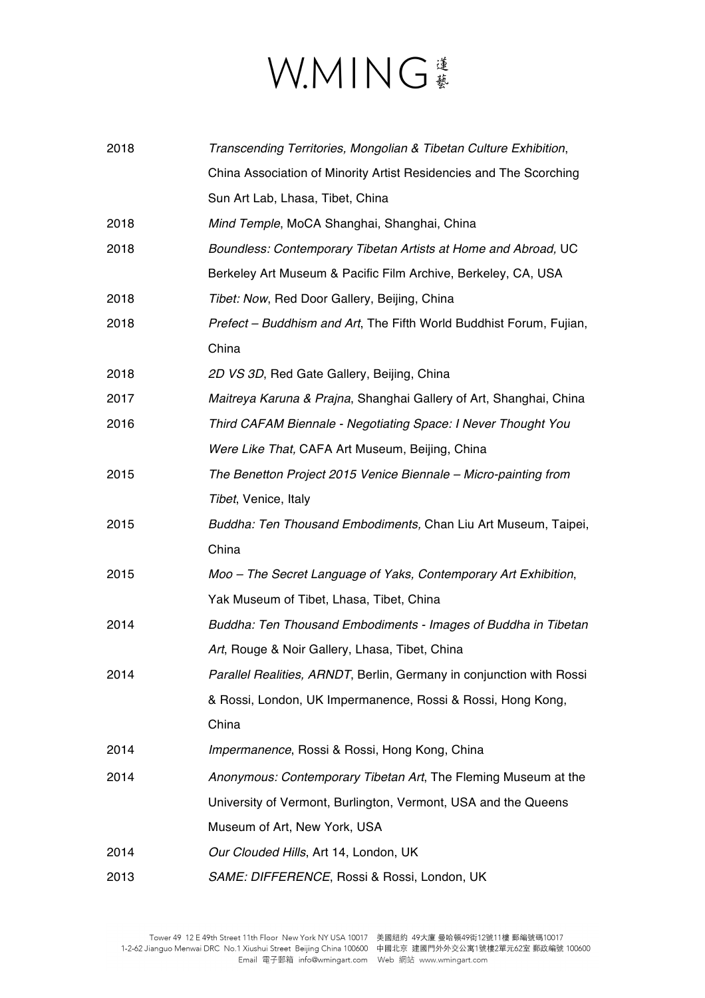| 2018 | Transcending Territories, Mongolian & Tibetan Culture Exhibition,    |
|------|----------------------------------------------------------------------|
|      | China Association of Minority Artist Residencies and The Scorching   |
|      | Sun Art Lab, Lhasa, Tibet, China                                     |
| 2018 | Mind Temple, MoCA Shanghai, Shanghai, China                          |
| 2018 | Boundless: Contemporary Tibetan Artists at Home and Abroad, UC       |
|      | Berkeley Art Museum & Pacific Film Archive, Berkeley, CA, USA        |
| 2018 | Tibet: Now, Red Door Gallery, Beijing, China                         |
| 2018 | Prefect - Buddhism and Art, The Fifth World Buddhist Forum, Fujian,  |
|      | China                                                                |
| 2018 | 2D VS 3D, Red Gate Gallery, Beijing, China                           |
| 2017 | Maitreya Karuna & Prajna, Shanghai Gallery of Art, Shanghai, China   |
| 2016 | Third CAFAM Biennale - Negotiating Space: I Never Thought You        |
|      | Were Like That, CAFA Art Museum, Beijing, China                      |
| 2015 | The Benetton Project 2015 Venice Biennale - Micro-painting from      |
|      | Tibet, Venice, Italy                                                 |
| 2015 | Buddha: Ten Thousand Embodiments, Chan Liu Art Museum, Taipei,       |
|      | China                                                                |
| 2015 | Moo - The Secret Language of Yaks, Contemporary Art Exhibition,      |
|      | Yak Museum of Tibet, Lhasa, Tibet, China                             |
| 2014 | Buddha: Ten Thousand Embodiments - Images of Buddha in Tibetan       |
|      | Art, Rouge & Noir Gallery, Lhasa, Tibet, China                       |
| 2014 | Parallel Realities, ARNDT, Berlin, Germany in conjunction with Rossi |
|      | & Rossi, London, UK Impermanence, Rossi & Rossi, Hong Kong,          |
|      | China                                                                |
| 2014 | Impermanence, Rossi & Rossi, Hong Kong, China                        |
| 2014 | Anonymous: Contemporary Tibetan Art, The Fleming Museum at the       |
|      | University of Vermont, Burlington, Vermont, USA and the Queens       |
|      | Museum of Art, New York, USA                                         |
| 2014 | Our Clouded Hills, Art 14, London, UK                                |
| 2013 | SAME: DIFFERENCE, Rossi & Rossi, London, UK                          |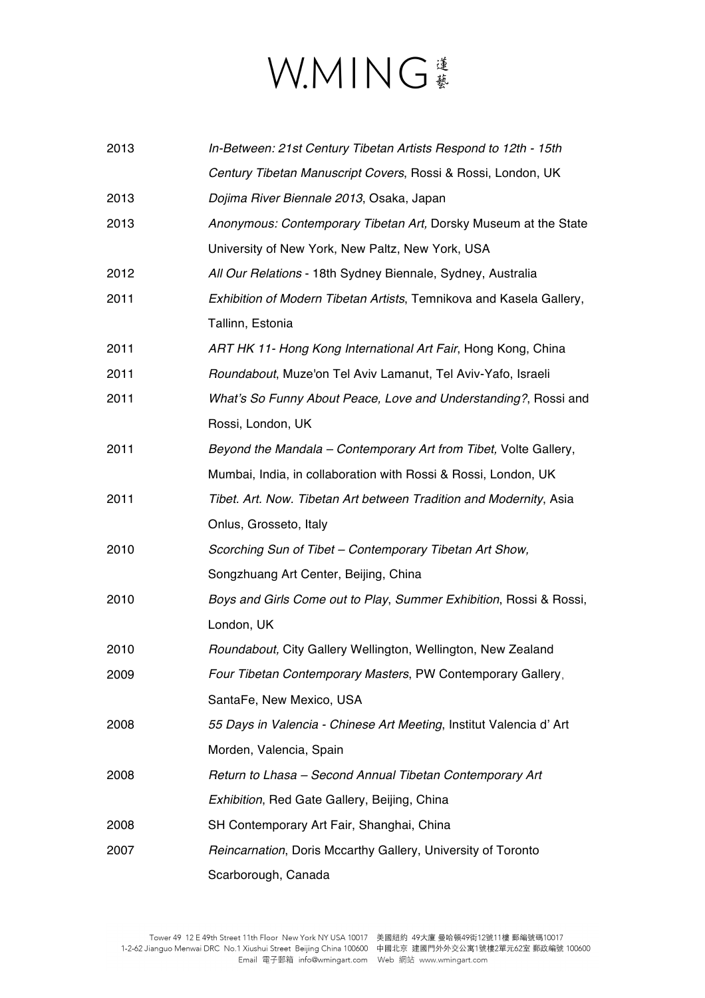| 2013 | In-Between: 21st Century Tibetan Artists Respond to 12th - 15th     |
|------|---------------------------------------------------------------------|
|      | Century Tibetan Manuscript Covers, Rossi & Rossi, London, UK        |
| 2013 | Dojima River Biennale 2013, Osaka, Japan                            |
| 2013 | Anonymous: Contemporary Tibetan Art, Dorsky Museum at the State     |
|      | University of New York, New Paltz, New York, USA                    |
| 2012 | All Our Relations - 18th Sydney Biennale, Sydney, Australia         |
| 2011 | Exhibition of Modern Tibetan Artists, Temnikova and Kasela Gallery, |
|      | Tallinn, Estonia                                                    |
| 2011 | ART HK 11- Hong Kong International Art Fair, Hong Kong, China       |
| 2011 | Roundabout, Muze'on Tel Aviv Lamanut, Tel Aviv-Yafo, Israeli        |
| 2011 | What's So Funny About Peace, Love and Understanding?, Rossi and     |
|      | Rossi, London, UK                                                   |
| 2011 | Beyond the Mandala - Contemporary Art from Tibet, Volte Gallery,    |
|      | Mumbai, India, in collaboration with Rossi & Rossi, London, UK      |
| 2011 | Tibet. Art. Now. Tibetan Art between Tradition and Modernity, Asia  |
|      | Onlus, Grosseto, Italy                                              |
| 2010 | Scorching Sun of Tibet - Contemporary Tibetan Art Show,             |
|      | Songzhuang Art Center, Beijing, China                               |
| 2010 | Boys and Girls Come out to Play, Summer Exhibition, Rossi & Rossi,  |
|      | London, UK                                                          |
| 2010 | Roundabout, City Gallery Wellington, Wellington, New Zealand        |
| 2009 | Four Tibetan Contemporary Masters, PW Contemporary Gallery,         |
|      | SantaFe, New Mexico, USA                                            |
| 2008 | 55 Days in Valencia - Chinese Art Meeting, Institut Valencia d'Art  |
|      | Morden, Valencia, Spain                                             |
| 2008 | Return to Lhasa - Second Annual Tibetan Contemporary Art            |
|      | Exhibition, Red Gate Gallery, Beijing, China                        |
| 2008 | SH Contemporary Art Fair, Shanghai, China                           |
| 2007 | Reincarnation, Doris Mccarthy Gallery, University of Toronto        |
|      | Scarborough, Canada                                                 |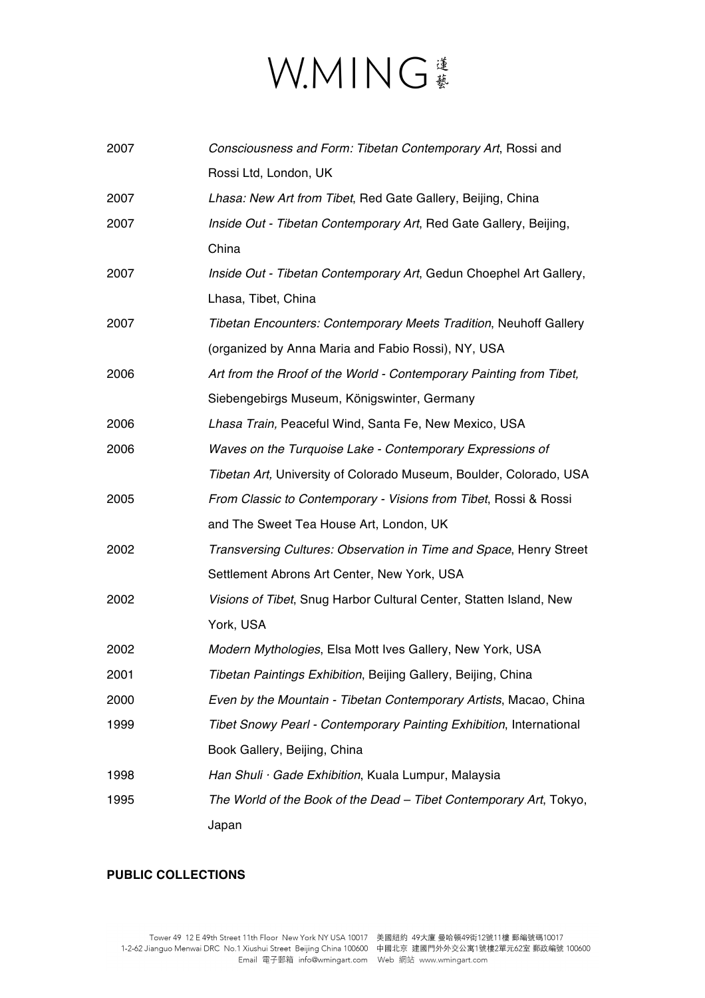| 2007 | Consciousness and Form: Tibetan Contemporary Art, Rossi and              |
|------|--------------------------------------------------------------------------|
|      | Rossi Ltd, London, UK                                                    |
| 2007 | Lhasa: New Art from Tibet, Red Gate Gallery, Beijing, China              |
| 2007 | Inside Out - Tibetan Contemporary Art, Red Gate Gallery, Beijing,        |
|      | China                                                                    |
| 2007 | Inside Out - Tibetan Contemporary Art, Gedun Choephel Art Gallery,       |
|      | Lhasa, Tibet, China                                                      |
| 2007 | <b>Tibetan Encounters: Contemporary Meets Tradition, Neuhoff Gallery</b> |
|      | (organized by Anna Maria and Fabio Rossi), NY, USA                       |
| 2006 | Art from the Rroof of the World - Contemporary Painting from Tibet,      |
|      | Siebengebirgs Museum, Königswinter, Germany                              |
| 2006 | Lhasa Train, Peaceful Wind, Santa Fe, New Mexico, USA                    |
| 2006 | Waves on the Turquoise Lake - Contemporary Expressions of                |
|      | Tibetan Art, University of Colorado Museum, Boulder, Colorado, USA       |
| 2005 | From Classic to Contemporary - Visions from Tibet, Rossi & Rossi         |
|      | and The Sweet Tea House Art, London, UK                                  |
| 2002 | Transversing Cultures: Observation in Time and Space, Henry Street       |
|      | Settlement Abrons Art Center, New York, USA                              |
| 2002 | Visions of Tibet, Snug Harbor Cultural Center, Statten Island, New       |
|      | York, USA                                                                |
| 2002 | Modern Mythologies, Elsa Mott Ives Gallery, New York, USA                |
| 2001 | Tibetan Paintings Exhibition, Beijing Gallery, Beijing, China            |
| 2000 | Even by the Mountain - Tibetan Contemporary Artists, Macao, China        |
| 1999 | Tibet Snowy Pearl - Contemporary Painting Exhibition, International      |
|      | Book Gallery, Beijing, China                                             |
| 1998 | Han Shuli · Gade Exhibition, Kuala Lumpur, Malaysia                      |
| 1995 | The World of the Book of the Dead - Tibet Contemporary Art, Tokyo,       |
|      | Japan                                                                    |

### **PUBLIC COLLECTIONS**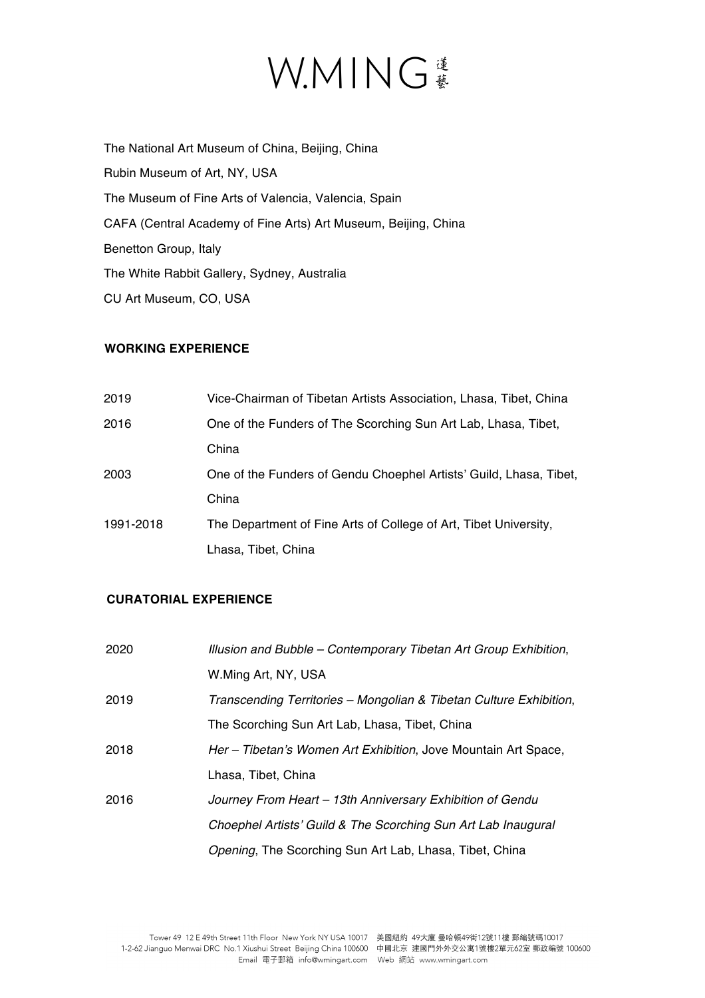The National Art Museum of China, Beijing, China Rubin Museum of Art, NY, USA The Museum of Fine Arts of Valencia, Valencia, Spain CAFA (Central Academy of Fine Arts) Art Museum, Beijing, China Benetton Group, Italy The White Rabbit Gallery, Sydney, Australia CU Art Museum, CO, USA

### **WORKING EXPERIENCE**

| 2019      | Vice-Chairman of Tibetan Artists Association, Lhasa, Tibet, China  |
|-----------|--------------------------------------------------------------------|
| 2016      | One of the Funders of The Scorching Sun Art Lab, Lhasa, Tibet,     |
|           | China                                                              |
| 2003      | One of the Funders of Gendu Choephel Artists' Guild, Lhasa, Tibet, |
|           | China                                                              |
| 1991-2018 | The Department of Fine Arts of College of Art, Tibet University,   |
|           | Lhasa, Tibet, China                                                |

### **CURATORIAL EXPERIENCE**

| 2020 | Illusion and Bubble - Contemporary Tibetan Art Group Exhibition,   |
|------|--------------------------------------------------------------------|
|      | W.Ming Art, NY, USA                                                |
| 2019 | Transcending Territories – Mongolian & Tibetan Culture Exhibition, |
|      | The Scorching Sun Art Lab, Lhasa, Tibet, China                     |
| 2018 | Her - Tibetan's Women Art Exhibition, Jove Mountain Art Space,     |
|      | Lhasa, Tibet, China                                                |
| 2016 | Journey From Heart - 13th Anniversary Exhibition of Gendu          |
|      | Choephel Artists' Guild & The Scorching Sun Art Lab Inaugural      |
|      | Opening, The Scorching Sun Art Lab, Lhasa, Tibet, China            |